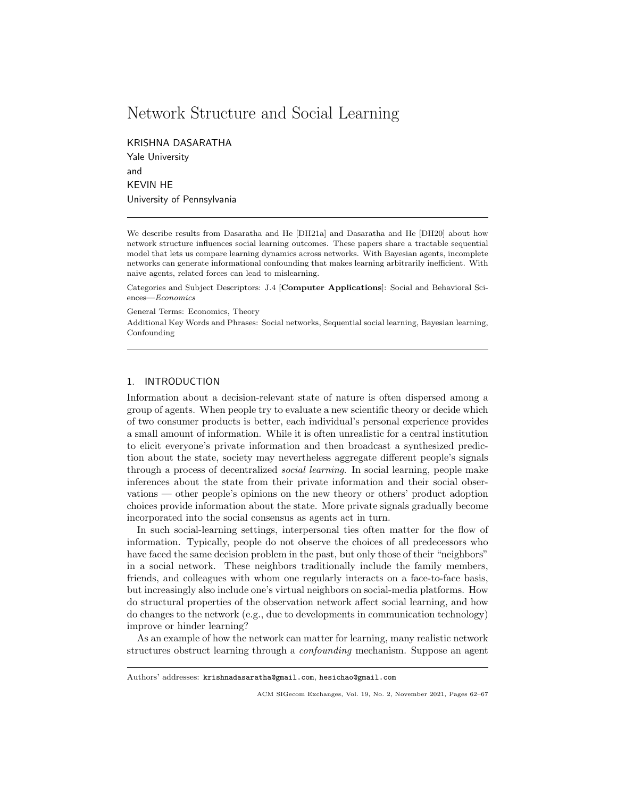# Network Structure and Social Learning

KRISHNA DASARATHA Yale University and KEVIN HE University of Pennsylvania

We describe results from Dasaratha and He [DH21a] and Dasaratha and He [DH20] about how network structure influences social learning outcomes. These papers share a tractable sequential model that lets us compare learning dynamics across networks. With Bayesian agents, incomplete networks can generate informational confounding that makes learning arbitrarily inefficient. With naive agents, related forces can lead to mislearning.

Categories and Subject Descriptors: J.4 [Computer Applications]: Social and Behavioral Sciences—Economics

General Terms: Economics, Theory

Additional Key Words and Phrases: Social networks, Sequential social learning, Bayesian learning, Confounding

## 1. INTRODUCTION

Information about a decision-relevant state of nature is often dispersed among a group of agents. When people try to evaluate a new scientific theory or decide which of two consumer products is better, each individual's personal experience provides a small amount of information. While it is often unrealistic for a central institution to elicit everyone's private information and then broadcast a synthesized prediction about the state, society may nevertheless aggregate different people's signals through a process of decentralized social learning. In social learning, people make inferences about the state from their private information and their social observations — other people's opinions on the new theory or others' product adoption choices provide information about the state. More private signals gradually become incorporated into the social consensus as agents act in turn.

In such social-learning settings, interpersonal ties often matter for the flow of information. Typically, people do not observe the choices of all predecessors who have faced the same decision problem in the past, but only those of their "neighbors" in a social network. These neighbors traditionally include the family members, friends, and colleagues with whom one regularly interacts on a face-to-face basis, but increasingly also include one's virtual neighbors on social-media platforms. How do structural properties of the observation network affect social learning, and how do changes to the network (e.g., due to developments in communication technology) improve or hinder learning?

As an example of how the network can matter for learning, many realistic network structures obstruct learning through a confounding mechanism. Suppose an agent

Authors' addresses: krishnadasaratha@gmail.com, hesichao@gmail.com

ACM SIGecom Exchanges, Vol. 19, No. 2, November 2021, Pages 62–67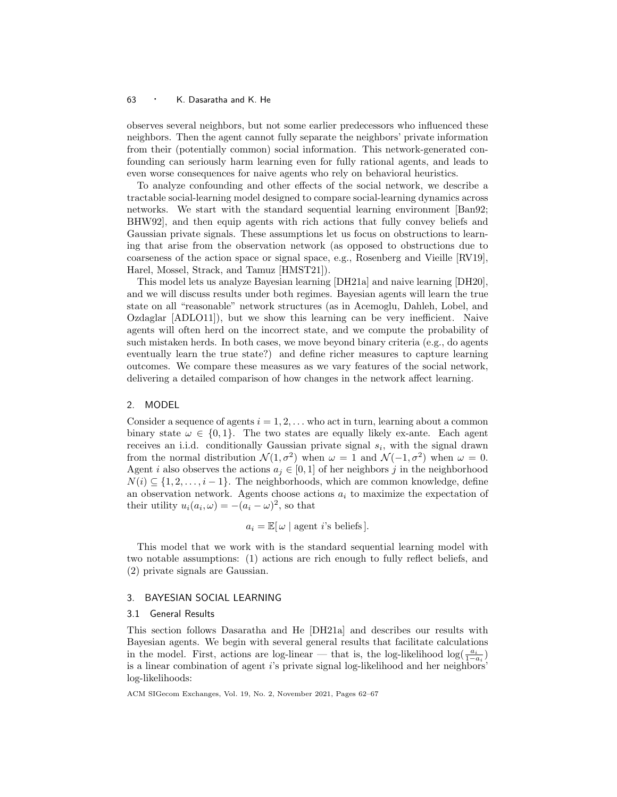#### <sup>63</sup> · K. Dasaratha and K. He

observes several neighbors, but not some earlier predecessors who influenced these neighbors. Then the agent cannot fully separate the neighbors' private information from their (potentially common) social information. This network-generated confounding can seriously harm learning even for fully rational agents, and leads to even worse consequences for naive agents who rely on behavioral heuristics.

To analyze confounding and other effects of the social network, we describe a tractable social-learning model designed to compare social-learning dynamics across networks. We start with the standard sequential learning environment [Ban92; BHW92], and then equip agents with rich actions that fully convey beliefs and Gaussian private signals. These assumptions let us focus on obstructions to learning that arise from the observation network (as opposed to obstructions due to coarseness of the action space or signal space, e.g., Rosenberg and Vieille [RV19], Harel, Mossel, Strack, and Tamuz [HMST21]).

This model lets us analyze Bayesian learning [DH21a] and naive learning [DH20], and we will discuss results under both regimes. Bayesian agents will learn the true state on all "reasonable" network structures (as in Acemoglu, Dahleh, Lobel, and Ozdaglar [ADLO11]), but we show this learning can be very inefficient. Naive agents will often herd on the incorrect state, and we compute the probability of such mistaken herds. In both cases, we move beyond binary criteria (e.g., do agents eventually learn the true state?) and define richer measures to capture learning outcomes. We compare these measures as we vary features of the social network, delivering a detailed comparison of how changes in the network affect learning.

## 2. MODEL

Consider a sequence of agents  $i = 1, 2, \ldots$  who act in turn, learning about a common binary state  $\omega \in \{0,1\}$ . The two states are equally likely ex-ante. Each agent receives an i.i.d. conditionally Gaussian private signal  $s_i$ , with the signal drawn from the normal distribution  $\mathcal{N}(1, \sigma^2)$  when  $\omega = 1$  and  $\mathcal{N}(-1, \sigma^2)$  when  $\omega = 0$ . Agent *i* also observes the actions  $a_j \in [0, 1]$  of her neighbors j in the neighborhood  $N(i) \subseteq \{1, 2, \ldots, i-1\}$ . The neighborhoods, which are common knowledge, define an observation network. Agents choose actions  $a_i$  to maximize the expectation of their utility  $u_i(a_i, \omega) = -(a_i - \omega)^2$ , so that

 $a_i = \mathbb{E}[\omega]$  agent *i*'s beliefs].

This model that we work with is the standard sequential learning model with two notable assumptions: (1) actions are rich enough to fully reflect beliefs, and (2) private signals are Gaussian.

## 3. BAYESIAN SOCIAL LEARNING

## 3.1 General Results

This section follows Dasaratha and He [DH21a] and describes our results with Bayesian agents. We begin with several general results that facilitate calculations in the model. First, actions are log-linear — that is, the log-likelihood  $\log(\frac{a_i}{1-a_i})$ is a linear combination of agent  $i$ 's private signal log-likelihood and her neighbors' log-likelihoods:

ACM SIGecom Exchanges, Vol. 19, No. 2, November 2021, Pages 62–67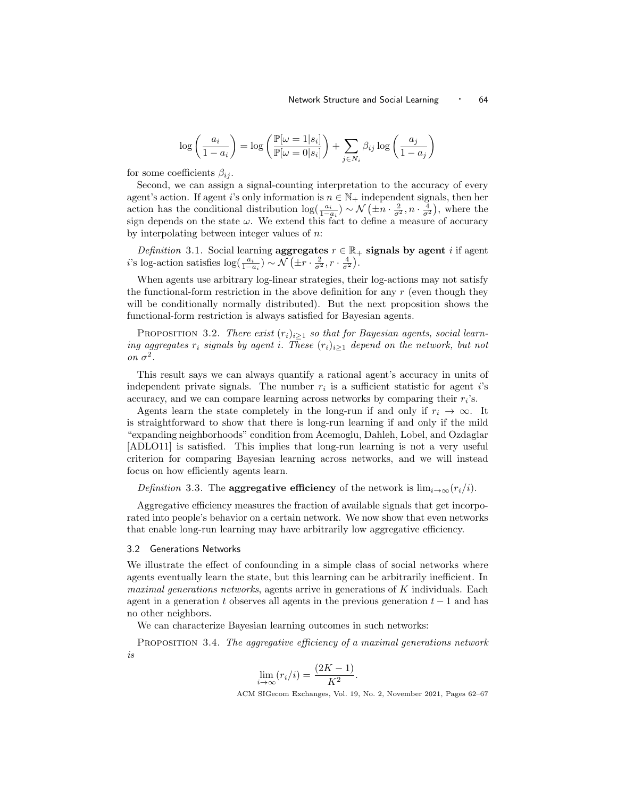$$
\log\left(\frac{a_i}{1-a_i}\right) = \log\left(\frac{\mathbb{P}[\omega = 1|s_i]}{\mathbb{P}[\omega = 0|s_i]}\right) + \sum_{j \in N_i} \beta_{ij} \log\left(\frac{a_j}{1-a_j}\right)
$$

for some coefficients  $\beta_{ij}$ .

Second, we can assign a signal-counting interpretation to the accuracy of every agent's action. If agent i's only information is  $n \in \mathbb{N}_+$  independent signals, then her action has the conditional distribution  $\log(\frac{a_i}{1-a_i}) \sim \mathcal{N}(\pm n \cdot \frac{2}{\sigma^2}, n \cdot \frac{4}{\sigma^2})$ , where the sign depends on the state  $\omega$ . We extend this fact to define a measure of accuracy by interpolating between integer values of  $n$ .

Definition 3.1. Social learning aggregates  $r \in \mathbb{R}_+$  signals by agent i if agent *i*'s log-action satisfies  $\log(\frac{a_i}{1-a_i}) \sim \mathcal{N}(\pm r \cdot \frac{2}{\sigma^2}, r \cdot \frac{4}{\sigma^2})$ .

When agents use arbitrary log-linear strategies, their log-actions may not satisfy the functional-form restriction in the above definition for any  $r$  (even though they will be conditionally normally distributed). But the next proposition shows the functional-form restriction is always satisfied for Bayesian agents.

PROPOSITION 3.2. There exist  $(r_i)_{i>1}$  so that for Bayesian agents, social learning aggregates  $r_i$  signals by agent i. These  $(r_i)_{i\geq 1}$  depend on the network, but not on  $\sigma^2$ .

This result says we can always quantify a rational agent's accuracy in units of independent private signals. The number  $r_i$  is a sufficient statistic for agent i's accuracy, and we can compare learning across networks by comparing their  $r_i$ 's.

Agents learn the state completely in the long-run if and only if  $r_i \to \infty$ . It is straightforward to show that there is long-run learning if and only if the mild "expanding neighborhoods" condition from Acemoglu, Dahleh, Lobel, and Ozdaglar [ADLO11] is satisfied. This implies that long-run learning is not a very useful criterion for comparing Bayesian learning across networks, and we will instead focus on how efficiently agents learn.

Definition 3.3. The **aggregative efficiency** of the network is  $\lim_{i\to\infty} (r_i/i)$ .

Aggregative efficiency measures the fraction of available signals that get incorporated into people's behavior on a certain network. We now show that even networks that enable long-run learning may have arbitrarily low aggregative efficiency.

#### 3.2 Generations Networks

We illustrate the effect of confounding in a simple class of social networks where agents eventually learn the state, but this learning can be arbitrarily inefficient. In *maximal generations networks*, agents arrive in generations of  $K$  individuals. Each agent in a generation t observes all agents in the previous generation  $t - 1$  and has no other neighbors.

We can characterize Bayesian learning outcomes in such networks:

PROPOSITION 3.4. The aggregative efficiency of a maximal generations network is

$$
\lim_{i \to \infty} (r_i/i) = \frac{(2K - 1)}{K^2}.
$$

ACM SIGecom Exchanges, Vol. 19, No. 2, November 2021, Pages 62–67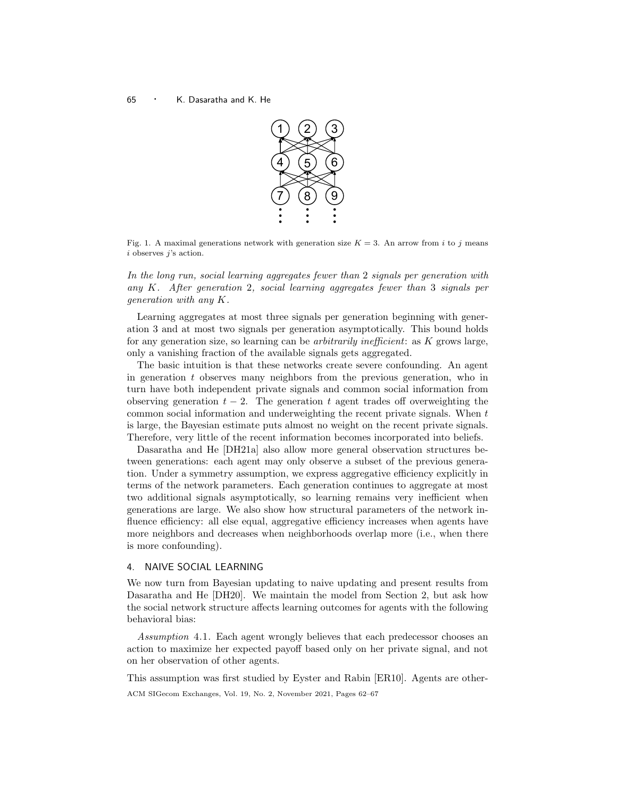## <sup>65</sup> · K. Dasaratha and K. He



Fig. 1. A maximal generations network with generation size  $K = 3$ . An arrow from i to j means i observes j's action.

In the long run, social learning aggregates fewer than 2 signals per generation with any  $K$ . After generation 2, social learning aggregates fewer than 3 signals per generation with any K.

Learning aggregates at most three signals per generation beginning with generation 3 and at most two signals per generation asymptotically. This bound holds for any generation size, so learning can be *arbitrarily inefficient*: as  $K$  grows large, only a vanishing fraction of the available signals gets aggregated.

The basic intuition is that these networks create severe confounding. An agent in generation t observes many neighbors from the previous generation, who in turn have both independent private signals and common social information from observing generation  $t - 2$ . The generation t agent trades off overweighting the common social information and underweighting the recent private signals. When  $t$ is large, the Bayesian estimate puts almost no weight on the recent private signals. Therefore, very little of the recent information becomes incorporated into beliefs.

Dasaratha and He [DH21a] also allow more general observation structures between generations: each agent may only observe a subset of the previous generation. Under a symmetry assumption, we express aggregative efficiency explicitly in terms of the network parameters. Each generation continues to aggregate at most two additional signals asymptotically, so learning remains very inefficient when generations are large. We also show how structural parameters of the network influence efficiency: all else equal, aggregative efficiency increases when agents have more neighbors and decreases when neighborhoods overlap more (i.e., when there is more confounding).

## 4. NAIVE SOCIAL LEARNING

We now turn from Bayesian updating to naive updating and present results from Dasaratha and He [DH20]. We maintain the model from Section 2, but ask how the social network structure affects learning outcomes for agents with the following behavioral bias:

Assumption 4.1. Each agent wrongly believes that each predecessor chooses an action to maximize her expected payoff based only on her private signal, and not on her observation of other agents.

This assumption was first studied by Eyster and Rabin [ER10]. Agents are other-ACM SIGecom Exchanges, Vol. 19, No. 2, November 2021, Pages 62–67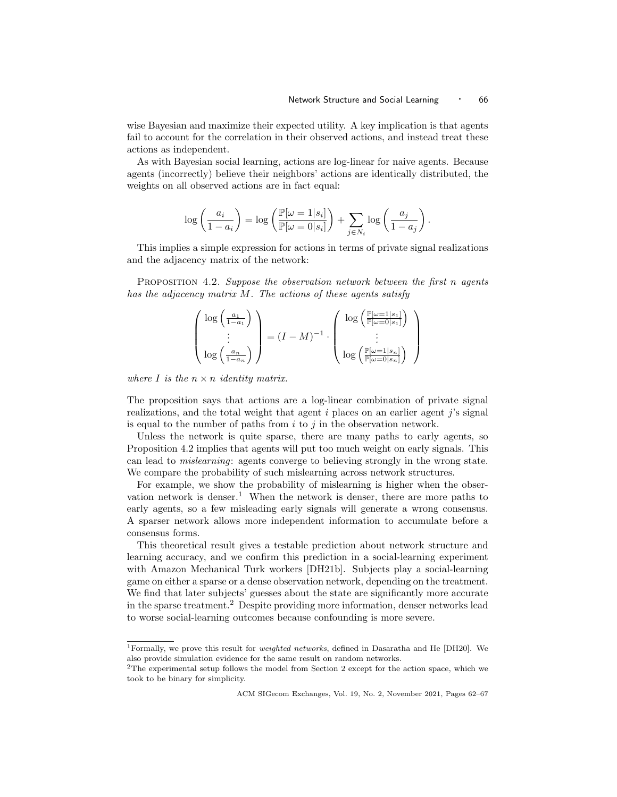wise Bayesian and maximize their expected utility. A key implication is that agents fail to account for the correlation in their observed actions, and instead treat these actions as independent.

As with Bayesian social learning, actions are log-linear for naive agents. Because agents (incorrectly) believe their neighbors' actions are identically distributed, the weights on all observed actions are in fact equal:

$$
\log\left(\frac{a_i}{1-a_i}\right) = \log\left(\frac{\mathbb{P}[\omega = 1|s_i]}{\mathbb{P}[\omega = 0|s_i]}\right) + \sum_{j \in N_i} \log\left(\frac{a_j}{1-a_j}\right).
$$

This implies a simple expression for actions in terms of private signal realizations and the adjacency matrix of the network:

PROPOSITION 4.2. Suppose the observation network between the first  $n$  agents has the adjacency matrix M. The actions of these agents satisfy

$$
\begin{pmatrix}\n\log\left(\frac{a_1}{1-a_1}\right) \\
\vdots \\
\log\left(\frac{a_n}{1-a_n}\right)\n\end{pmatrix} = (I-M)^{-1} \cdot \begin{pmatrix}\n\log\left(\frac{\mathbb{P}[\omega=1|s_1]}{\mathbb{P}[\omega=0|s_1]}\right) \\
\vdots \\
\log\left(\frac{\mathbb{P}[\omega=1|s_n]}{\mathbb{P}[\omega=0|s_n]}\right)\n\end{pmatrix}
$$

where I is the  $n \times n$  identity matrix.

The proposition says that actions are a log-linear combination of private signal realizations, and the total weight that agent  $i$  places on an earlier agent  $j$ 's signal is equal to the number of paths from  $i$  to  $j$  in the observation network.

Unless the network is quite sparse, there are many paths to early agents, so Proposition 4.2 implies that agents will put too much weight on early signals. This can lead to mislearning: agents converge to believing strongly in the wrong state. We compare the probability of such mislearning across network structures.

For example, we show the probability of mislearning is higher when the observation network is denser.<sup>1</sup> When the network is denser, there are more paths to early agents, so a few misleading early signals will generate a wrong consensus. A sparser network allows more independent information to accumulate before a consensus forms.

This theoretical result gives a testable prediction about network structure and learning accuracy, and we confirm this prediction in a social-learning experiment with Amazon Mechanical Turk workers [DH21b]. Subjects play a social-learning game on either a sparse or a dense observation network, depending on the treatment. We find that later subjects' guesses about the state are significantly more accurate in the sparse treatment.<sup>2</sup> Despite providing more information, denser networks lead to worse social-learning outcomes because confounding is more severe.

ACM SIGecom Exchanges, Vol. 19, No. 2, November 2021, Pages 62–67

<sup>&</sup>lt;sup>1</sup>Formally, we prove this result for *weighted networks*, defined in Dasaratha and He [DH20]. We also provide simulation evidence for the same result on random networks.

<sup>2</sup>The experimental setup follows the model from Section 2 except for the action space, which we took to be binary for simplicity.